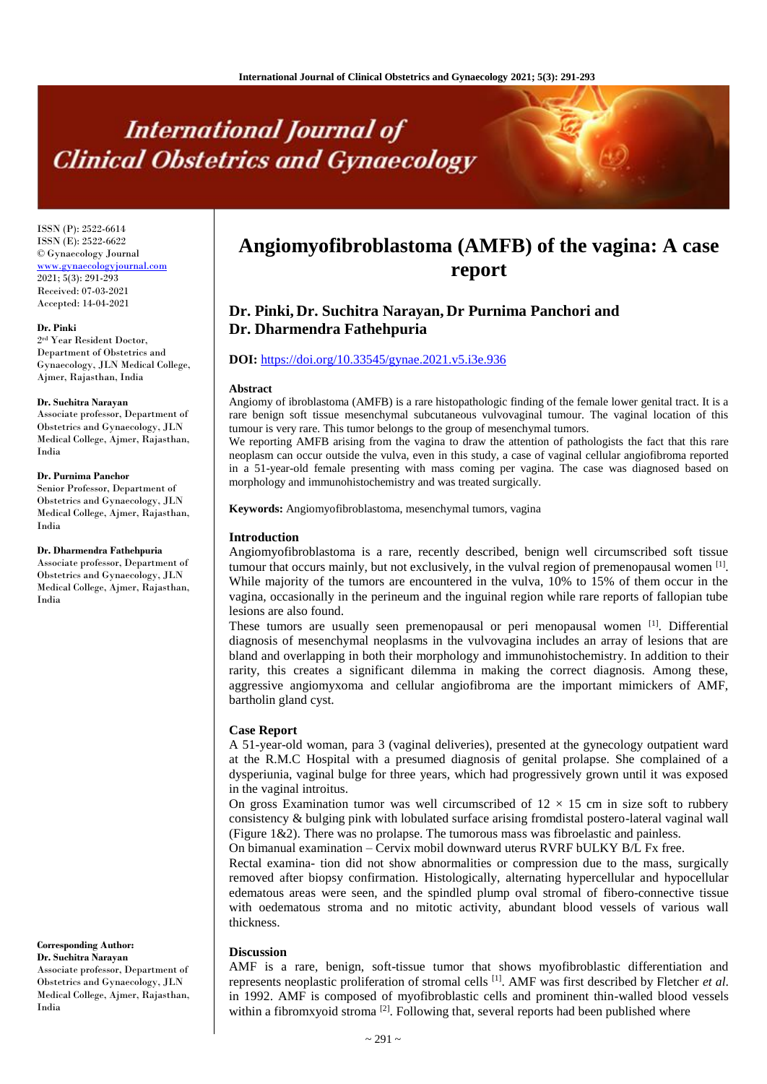# **International Journal of Clinical Obstetrics and Gynaecology**

ISSN (P): 2522-6614 ISSN (E): 2522-6622 © Gynaecology Journal <www.gynaecologyjournal.com> 2021; 5(3): 291-293 Received: 07-03-2021 Accepted: 14-04-2021

#### **Dr. Pinki**

2 rd Year Resident Doctor, Department of Obstetrics and Gynaecology, JLN Medical College, Ajmer, Rajasthan, India

#### **Dr. Suchitra Narayan**

Associate professor, Department of Obstetrics and Gynaecology, JLN Medical College, Ajmer, Rajasthan, India

#### **Dr. Purnima Panchor**

Senior Professor, Department of Obstetrics and Gynaecology, JLN Medical College, Ajmer, Rajasthan, India

#### **Dr. Dharmendra Fathehpuria**

Associate professor, Department of Obstetrics and Gynaecology, JLN Medical College, Ajmer, Rajasthan, India

#### **Corresponding Author: Dr. Suchitra Narayan**

Associate professor, Department of Obstetrics and Gynaecology, JLN Medical College, Ajmer, Rajasthan, India

## **Angiomyofibroblastoma (AMFB) of the vagina: A case report**

### **Dr. Pinki, Dr. Suchitra Narayan, Dr Purnima Panchori and Dr. Dharmendra Fathehpuria**

#### **DOI:** <https://doi.org/10.33545/gynae.2021.v5.i3e.936>

#### **Abstract**

Angiomy of ibroblastoma (AMFB) is a rare histopathologic finding of the female lower genital tract. It is a rare benign soft tissue mesenchymal subcutaneous vulvovaginal tumour. The vaginal location of this tumour is very rare. This tumor belongs to the group of mesenchymal tumors.

We reporting AMFB arising from the vagina to draw the attention of pathologists the fact that this rare neoplasm can occur outside the vulva, even in this study, a case of vaginal cellular angiofibroma reported in a 51-year-old female presenting with mass coming per vagina. The case was diagnosed based on morphology and immunohistochemistry and was treated surgically.

**Keywords:** Angiomyofibroblastoma, mesenchymal tumors, vagina

#### **Introduction**

Angiomyofibroblastoma is a rare, recently described, benign well circumscribed soft tissue tumour that occurs mainly, but not exclusively, in the vulval region of premenopausal women  $^{[1]}$ . While majority of the tumors are encountered in the vulva, 10% to 15% of them occur in the vagina, occasionally in the perineum and the inguinal region while rare reports of fallopian tube lesions are also found.

These tumors are usually seen premenopausal or peri menopausal women [1]. Differential diagnosis of mesenchymal neoplasms in the vulvovagina includes an array of lesions that are bland and overlapping in both their morphology and immunohistochemistry. In addition to their rarity, this creates a significant dilemma in making the correct diagnosis. Among these, aggressive angiomyxoma and cellular angiofibroma are the important mimickers of AMF, bartholin gland cyst.

#### **Case Report**

A 51-year-old woman, para 3 (vaginal deliveries), presented at the gynecology outpatient ward at the R.M.C Hospital with a presumed diagnosis of genital prolapse. She complained of a dysperiunia, vaginal bulge for three years, which had progressively grown until it was exposed in the vaginal introitus.

On gross Examination tumor was well circumscribed of  $12 \times 15$  cm in size soft to rubbery consistency & bulging pink with lobulated surface arising fromdistal postero-lateral vaginal wall (Figure 1&2). There was no prolapse. The tumorous mass was fibroelastic and painless.

On bimanual examination – Cervix mobil downward uterus RVRF bULKY B/L Fx free.

Rectal examina- tion did not show abnormalities or compression due to the mass, surgically removed after biopsy confirmation. Histologically, alternating hypercellular and hypocellular edematous areas were seen, and the spindled plump oval stromal of fibero-connective tissue with oedematous stroma and no mitotic activity, abundant blood vessels of various wall thickness.

#### **Discussion**

AMF is a rare, benign, soft-tissue tumor that shows myofibroblastic differentiation and represents neoplastic proliferation of stromal cells [1]. AMF was first described by Fletcher *et al*. in 1992. AMF is composed of myofibroblastic cells and prominent thin-walled blood vessels within a fibromxyoid stroma  $[2]$ . Following that, several reports had been published where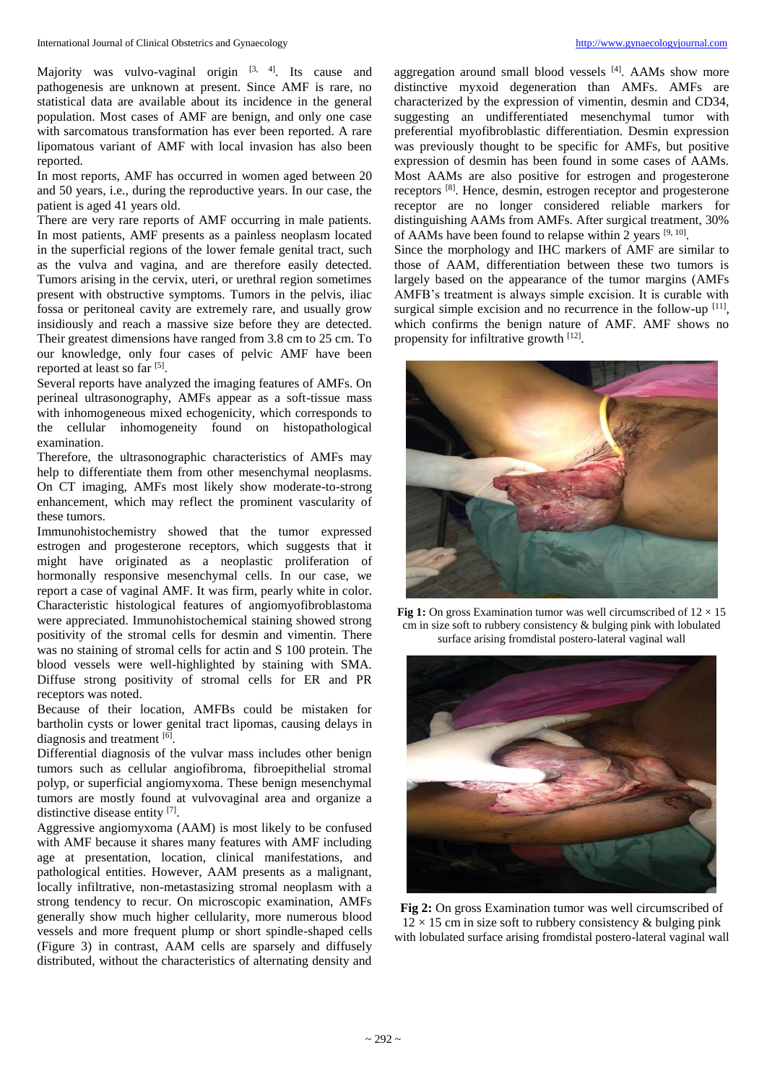Majority was vulvo-vaginal origin  $[3, 4]$ . Its cause and pathogenesis are unknown at present. Since AMF is rare, no statistical data are available about its incidence in the general population. Most cases of AMF are benign, and only one case with sarcomatous transformation has ever been reported. A rare lipomatous variant of AMF with local invasion has also been reported.

In most reports, AMF has occurred in women aged between 20 and 50 years, i.e., during the reproductive years. In our case, the patient is aged 41 years old.

There are very rare reports of AMF occurring in male patients. In most patients, AMF presents as a painless neoplasm located in the superficial regions of the lower female genital tract, such as the vulva and vagina, and are therefore easily detected. Tumors arising in the cervix, uteri, or urethral region sometimes present with obstructive symptoms. Tumors in the pelvis, iliac fossa or peritoneal cavity are extremely rare, and usually grow insidiously and reach a massive size before they are detected. Their greatest dimensions have ranged from 3.8 cm to 25 cm. To our knowledge, only four cases of pelvic AMF have been reported at least so far [5].

Several reports have analyzed the imaging features of AMFs. On perineal ultrasonography, AMFs appear as a soft-tissue mass with inhomogeneous mixed echogenicity, which corresponds to the cellular inhomogeneity found on histopathological examination.

Therefore, the ultrasonographic characteristics of AMFs may help to differentiate them from other mesenchymal neoplasms. On CT imaging, AMFs most likely show moderate-to-strong enhancement, which may reflect the prominent vascularity of these tumors.

Immunohistochemistry showed that the tumor expressed estrogen and progesterone receptors, which suggests that it might have originated as a neoplastic proliferation of hormonally responsive mesenchymal cells. In our case, we report a case of vaginal AMF. It was firm, pearly white in color. Characteristic histological features of angiomyofibroblastoma were appreciated. Immunohistochemical staining showed strong positivity of the stromal cells for desmin and vimentin. There was no staining of stromal cells for actin and S 100 protein. The blood vessels were well-highlighted by staining with SMA. Diffuse strong positivity of stromal cells for ER and PR receptors was noted.

Because of their location, AMFBs could be mistaken for bartholin cysts or lower genital tract lipomas, causing delays in diagnosis and treatment [6].

Differential diagnosis of the vulvar mass includes other benign tumors such as cellular angiofibroma, fibroepithelial stromal polyp, or superficial angiomyxoma. These benign mesenchymal tumors are mostly found at vulvovaginal area and organize a distinctive disease entity [7].

Aggressive angiomyxoma (AAM) is most likely to be confused with AMF because it shares many features with AMF including age at presentation, location, clinical manifestations, and pathological entities. However, AAM presents as a malignant, locally infiltrative, non-metastasizing stromal neoplasm with a strong tendency to recur. On microscopic examination, AMFs generally show much higher cellularity, more numerous blood vessels and more frequent plump or short spindle-shaped cells (Figure 3) in contrast, AAM cells are sparsely and diffusely distributed, without the characteristics of alternating density and aggregation around small blood vessels [4]. AAMs show more distinctive myxoid degeneration than AMFs. AMFs are characterized by the expression of vimentin, desmin and CD34, suggesting an undifferentiated mesenchymal tumor with preferential myofibroblastic differentiation. Desmin expression was previously thought to be specific for AMFs, but positive expression of desmin has been found in some cases of AAMs. Most AAMs are also positive for estrogen and progesterone receptors [8]. Hence, desmin, estrogen receptor and progesterone receptor are no longer considered reliable markers for distinguishing AAMs from AMFs. After surgical treatment, 30% of AAMs have been found to relapse within 2 years  $[9, 10]$ .

Since the morphology and IHC markers of AMF are similar to those of AAM, differentiation between these two tumors is largely based on the appearance of the tumor margins (AMFs AMFB's treatment is always simple excision. It is curable with surgical simple excision and no recurrence in the follow-up  $[11]$ , which confirms the benign nature of AMF. AMF shows no propensity for infiltrative growth [12].



**Fig 1:** On gross Examination tumor was well circumscribed of  $12 \times 15$ cm in size soft to rubbery consistency & bulging pink with lobulated surface arising fromdistal postero-lateral vaginal wall



**Fig 2:** On gross Examination tumor was well circumscribed of  $12 \times 15$  cm in size soft to rubbery consistency & bulging pink with lobulated surface arising fromdistal postero-lateral vaginal wall